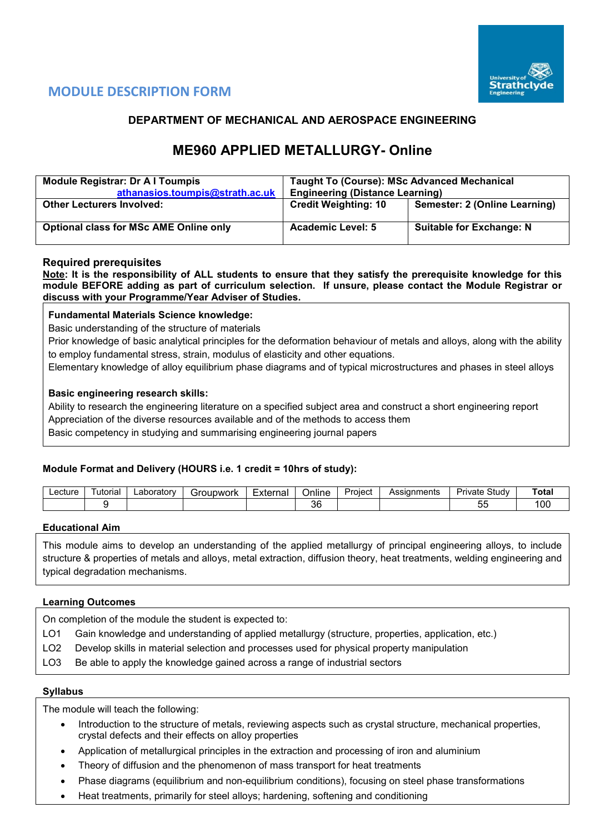

# **MODULE DESCRIPTION FORM**

# **DEPARTMENT OF MECHANICAL AND AEROSPACE ENGINEERING**

# **ME960 APPLIED METALLURGY- Online**

| <b>Module Registrar: Dr A I Toumpis</b><br>athanasios.toumpis@strath.ac.uk | <b>Taught To (Course): MSc Advanced Mechanical</b><br><b>Engineering (Distance Learning)</b> |                                 |  |  |  |  |
|----------------------------------------------------------------------------|----------------------------------------------------------------------------------------------|---------------------------------|--|--|--|--|
| <b>Other Lecturers Involved:</b>                                           | <b>Credit Weighting: 10</b>                                                                  | Semester: 2 (Online Learning)   |  |  |  |  |
| <b>Optional class for MSc AME Online only</b>                              | <b>Academic Level: 5</b>                                                                     | <b>Suitable for Exchange: N</b> |  |  |  |  |

# **Required prerequisites**

**Note: It is the responsibility of ALL students to ensure that they satisfy the prerequisite knowledge for this module BEFORE adding as part of curriculum selection. If unsure, please contact the Module Registrar or discuss with your Programme/Year Adviser of Studies.**

# **Fundamental Materials Science knowledge:**

Basic understanding of the structure of materials

Prior knowledge of basic analytical principles for the deformation behaviour of metals and alloys, along with the ability to employ fundamental stress, strain, modulus of elasticity and other equations.

Elementary knowledge of alloy equilibrium phase diagrams and of typical microstructures and phases in steel alloys

# **Basic engineering research skills:**

Ability to research the engineering literature on a specified subject area and construct a short engineering report Appreciation of the diverse resources available and of the methods to access them Basic competency in studying and summarising engineering journal papers

# **Module Format and Delivery (HOURS i.e. 1 credit = 10hrs of study):**

| ∟ecture | utorial | ∟aboratorv | Foubwork | Externa | Online   | _<br>Project | Assignments | Study<br>Private | Total          |
|---------|---------|------------|----------|---------|----------|--------------|-------------|------------------|----------------|
|         |         |            |          |         | oc<br>ບປ |              |             | --<br>ູ          | 0 <sup>c</sup> |

#### **Educational Aim**

This module aims to develop an understanding of the applied metallurgy of principal engineering alloys, to include structure & properties of metals and alloys, metal extraction, diffusion theory, heat treatments, welding engineering and typical degradation mechanisms.

# **Learning Outcomes**

On completion of the module the student is expected to:

- LO1 Gain knowledge and understanding of applied metallurgy (structure, properties, application, etc.)
- LO2 Develop skills in material selection and processes used for physical property manipulation
- LO3 Be able to apply the knowledge gained across a range of industrial sectors

#### **Syllabus**

The module will teach the following:

- Introduction to the structure of metals, reviewing aspects such as crystal structure, mechanical properties, crystal defects and their effects on alloy properties
- Application of metallurgical principles in the extraction and processing of iron and aluminium
- Theory of diffusion and the phenomenon of mass transport for heat treatments
- Phase diagrams (equilibrium and non-equilibrium conditions), focusing on steel phase transformations
- Heat treatments, primarily for steel alloys; hardening, softening and conditioning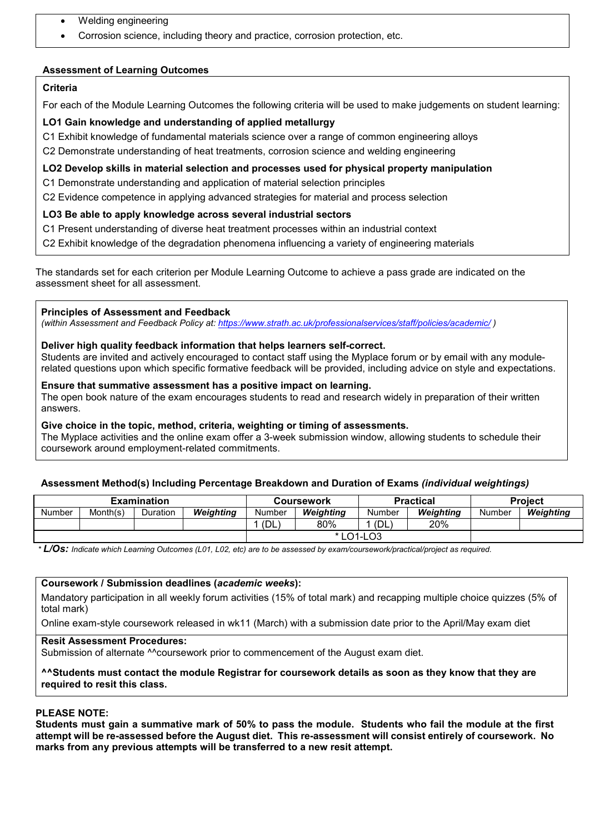- Welding engineering
- Corrosion science, including theory and practice, corrosion protection, etc.

# **Assessment of Learning Outcomes**

# **Criteria**

For each of the Module Learning Outcomes the following criteria will be used to make judgements on student learning:

# **LO1 Gain knowledge and understanding of applied metallurgy**

C1 Exhibit knowledge of fundamental materials science over a range of common engineering alloys

C2 Demonstrate understanding of heat treatments, corrosion science and welding engineering

## **LO2 Develop skills in material selection and processes used for physical property manipulation**

C1 Demonstrate understanding and application of material selection principles

C2 Evidence competence in applying advanced strategies for material and process selection

# **LO3 Be able to apply knowledge across several industrial sectors**

C1 Present understanding of diverse heat treatment processes within an industrial context

C2 Exhibit knowledge of the degradation phenomena influencing a variety of engineering materials

The standards set for each criterion per Module Learning Outcome to achieve a pass grade are indicated on the assessment sheet for all assessment.

#### **Principles of Assessment and Feedback**

*(within Assessment and Feedback Policy at: <https://www.strath.ac.uk/professionalservices/staff/policies/academic/> )*

# **Deliver high quality feedback information that helps learners self-correct.**

Students are invited and actively encouraged to contact staff using the Myplace forum or by email with any modulerelated questions upon which specific formative feedback will be provided, including advice on style and expectations.

#### **Ensure that summative assessment has a positive impact on learning.**

The open book nature of the exam encourages students to read and research widely in preparation of their written answers.

# **Give choice in the topic, method, criteria, weighting or timing of assessments.**

The Myplace activities and the online exam offer a 3-week submission window, allowing students to schedule their coursework around employment-related commitments.

# **Assessment Method(s) Including Percentage Breakdown and Duration of Exams** *(individual weightings)*

|        |          | <b>Examination</b> |           |        | Coursework |        | <b>Practical</b> | <b>Project</b> |           |  |
|--------|----------|--------------------|-----------|--------|------------|--------|------------------|----------------|-----------|--|
| Number | Month(s) | Duration           | Weighting | Number | Weiahtina  | Number | Weighting        | Number         | Weighting |  |
|        |          |                    |           | (DL    | 80%        | (DL    | 20%              |                |           |  |
|        |          |                    |           |        | * LO1-LO3  |        |                  |                |           |  |

*\* L/Os: Indicate which Learning Outcomes (L01, L02, etc) are to be assessed by exam/coursework/practical/project as required.*

#### **Coursework / Submission deadlines (***academic weeks***):**

Mandatory participation in all weekly forum activities (15% of total mark) and recapping multiple choice quizzes (5% of total mark)

Online exam-style coursework released in wk11 (March) with a submission date prior to the April/May exam diet

#### **Resit Assessment Procedures:**

Submission of alternate <sup>^^</sup>coursework prior to commencement of the August exam diet.

#### **^^Students must contact the module Registrar for coursework details as soon as they know that they are required to resit this class.**

# **PLEASE NOTE:**

**Students must gain a summative mark of 50% to pass the module. Students who fail the module at the first attempt will be re-assessed before the August diet. This re-assessment will consist entirely of coursework. No marks from any previous attempts will be transferred to a new resit attempt.**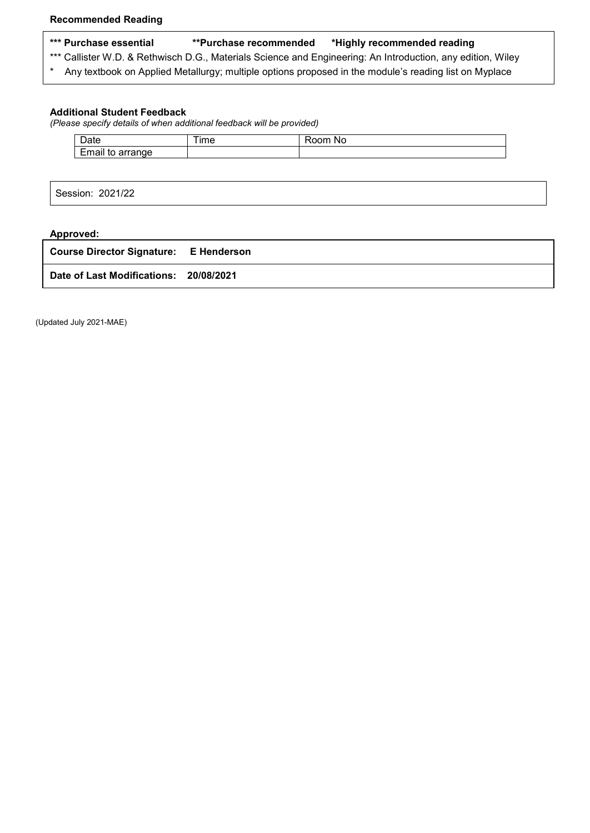- **\*\*\* Purchase essential \*\*Purchase recommended \*Highly recommended reading**
- \*\*\* Callister W.D. & Rethwisch D.G., Materials Science and Engineering: An Introduction, any edition, Wiley
- \* Any textbook on Applied Metallurgy; multiple options proposed in the module's reading list on Myplace

#### **Additional Student Feedback**

*(Please specify details of when additional feedback will be provided)*

| $\sim$<br>Date                                                    | --<br>ıme | .<br>NC.<br>w |
|-------------------------------------------------------------------|-----------|---------------|
| $\overline{\phantom{0}}$<br>.<br>$\sim$ $\sim$<br>anae<br>aı<br>ູ |           |               |

Session: 2021/22

# **Approved: Course Director Signature: E Henderson Date of Last Modifications: 20/08/2021**

(Updated July 2021-MAE)